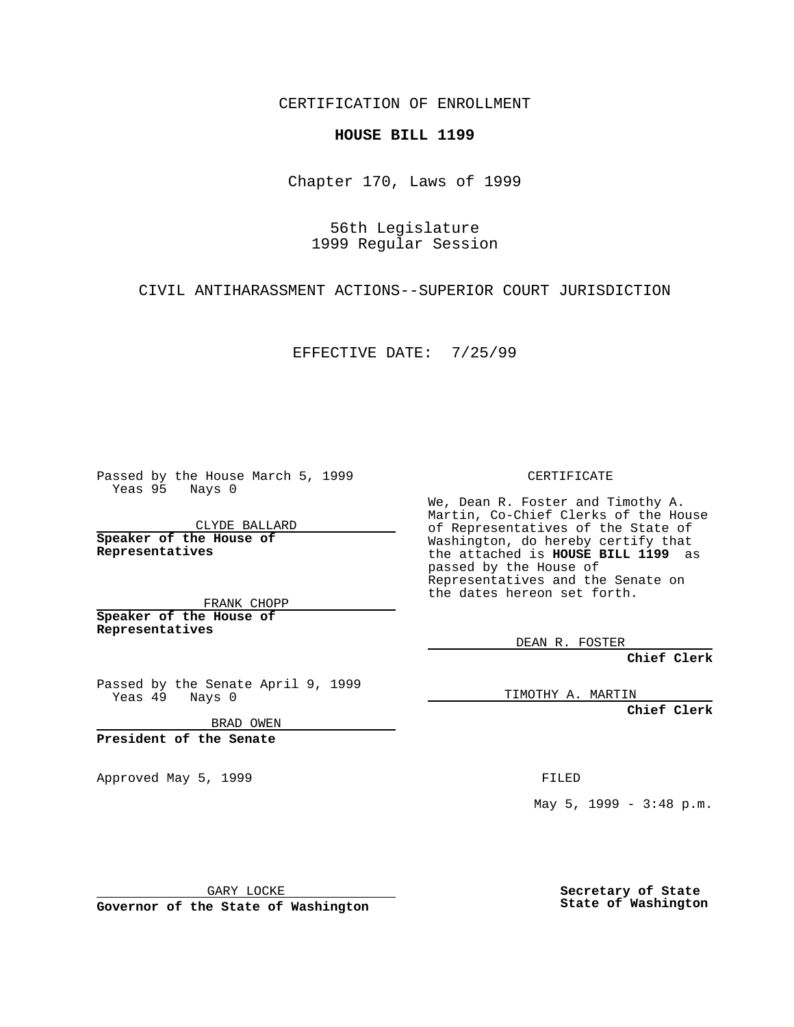CERTIFICATION OF ENROLLMENT

## **HOUSE BILL 1199**

Chapter 170, Laws of 1999

56th Legislature 1999 Regular Session

CIVIL ANTIHARASSMENT ACTIONS--SUPERIOR COURT JURISDICTION

EFFECTIVE DATE: 7/25/99

Passed by the House March 5, 1999 Yeas 95 Nays 0

CLYDE BALLARD **Speaker of the House of Representatives**

FRANK CHOPP **Speaker of the House of Representatives**

Passed by the Senate April 9, 1999 Yeas 49 Nays 0

BRAD OWEN

**President of the Senate**

Approved May 5, 1999 **FILED** 

CERTIFICATE

We, Dean R. Foster and Timothy A. Martin, Co-Chief Clerks of the House of Representatives of the State of Washington, do hereby certify that the attached is **HOUSE BILL 1199** as passed by the House of Representatives and the Senate on the dates hereon set forth.

DEAN R. FOSTER

**Chief Clerk**

TIMOTHY A. MARTIN

**Chief Clerk**

May 5, 1999 - 3:48 p.m.

GARY LOCKE

**Governor of the State of Washington**

**Secretary of State State of Washington**